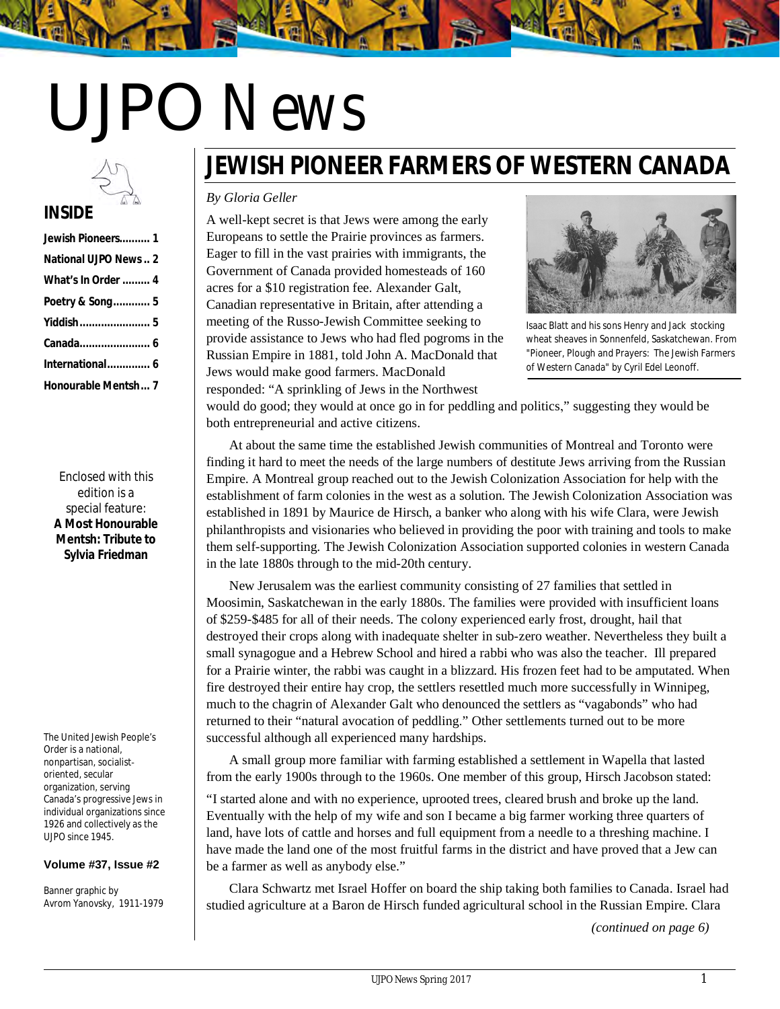# UJPO *News*

# **INSIDE**

| Jewish Pioneers 1         |
|---------------------------|
| National UJPO News2       |
| <b>What's In Order  4</b> |
| Poetry & Song 5           |
|                           |
|                           |
| International 6           |
| Honourable Mentsh 7       |

Enclosed with this edition is a special feature: **A Most Honourable Mentsh: Tribute to Sylvia Friedman**

The United Jewish People's Order is a national, nonpartisan, socialist‐ oriented, secular organization, serving Canada's progressive Jews in individual organizations since 1926 and collectively as the UJPO since 1945.

#### **Volume #37, Issue #2**

Banner graphic by Avrom Yanovsky, 1911-1979

# **JEWISH PIONEER FARMERS OF WESTERN CANADA**

#### *By Gloria Geller*

A well-kept secret is that Jews were among the early Europeans to settle the Prairie provinces as farmers. Eager to fill in the vast prairies with immigrants, the Government of Canada provided homesteads of 160 acres for a \$10 registration fee. Alexander Galt, Canadian representative in Britain, after attending a meeting of the Russo-Jewish Committee seeking to provide assistance to Jews who had fled pogroms in the Russian Empire in 1881, told John A. MacDonald that Jews would make good farmers. MacDonald responded: "A sprinkling of Jews in the Northwest



Isaac Blatt and his sons Henry and Jack stocking wheat sheaves in Sonnenfeld, Saskatchewan. From "Pioneer, Plough and Prayers: The Jewish Farmers of Western Canada" by Cyril Edel Leonoff.

would do good; they would at once go in for peddling and politics," suggesting they would be both entrepreneurial and active citizens.

At about the same time the established Jewish communities of Montreal and Toronto were finding it hard to meet the needs of the large numbers of destitute Jews arriving from the Russian Empire. A Montreal group reached out to the Jewish Colonization Association for help with the establishment of farm colonies in the west as a solution. The Jewish Colonization Association was established in 1891 by Maurice de Hirsch, a banker who along with his wife Clara, were Jewish philanthropists and visionaries who believed in providing the poor with training and tools to make them self-supporting. The Jewish Colonization Association supported colonies in western Canada in the late 1880s through to the mid-20th century.

New Jerusalem was the earliest community consisting of 27 families that settled in Moosimin, Saskatchewan in the early 1880s. The families were provided with insufficient loans of \$259-\$485 for all of their needs. The colony experienced early frost, drought, hail that destroyed their crops along with inadequate shelter in sub-zero weather. Nevertheless they built a small synagogue and a Hebrew School and hired a rabbi who was also the teacher. Ill prepared for a Prairie winter, the rabbi was caught in a blizzard. His frozen feet had to be amputated. When fire destroyed their entire hay crop, the settlers resettled much more successfully in Winnipeg, much to the chagrin of Alexander Galt who denounced the settlers as "vagabonds" who had returned to their "natural avocation of peddling." Other settlements turned out to be more successful although all experienced many hardships.

A small group more familiar with farming established a settlement in Wapella that lasted from the early 1900s through to the 1960s. One member of this group, Hirsch Jacobson stated:

"I started alone and with no experience, uprooted trees, cleared brush and broke up the land. Eventually with the help of my wife and son I became a big farmer working three quarters of land, have lots of cattle and horses and full equipment from a needle to a threshing machine. I have made the land one of the most fruitful farms in the district and have proved that a Jew can be a farmer as well as anybody else."

Clara Schwartz met Israel Hoffer on board the ship taking both families to Canada. Israel had studied agriculture at a Baron de Hirsch funded agricultural school in the Russian Empire. Clara

*(continued on page 6)*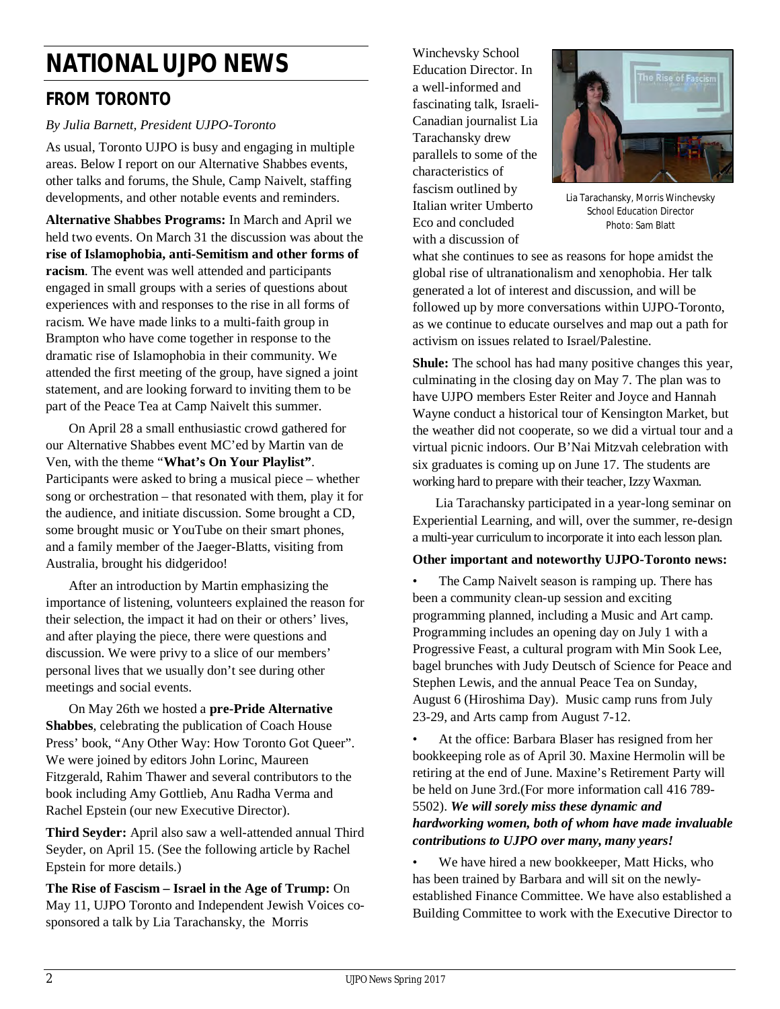# **NATIONAL UJPO NEWS**

# **FROM TORONTO**

### *By Julia Barnett, President UJPO-Toronto*

As usual, Toronto UJPO is busy and engaging in multiple areas. Below I report on our Alternative Shabbes events, other talks and forums, the Shule, Camp Naivelt, staffing developments, and other notable events and reminders.

**Alternative Shabbes Programs:** In March and April we held two events. On March 31 the discussion was about the **rise of Islamophobia, anti-Semitism and other forms of racism**. The event was well attended and participants engaged in small groups with a series of questions about experiences with and responses to the rise in all forms of racism. We have made links to a multi-faith group in Brampton who have come together in response to the dramatic rise of Islamophobia in their community. We attended the first meeting of the group, have signed a joint statement, and are looking forward to inviting them to be part of the Peace Tea at Camp Naivelt this summer.

 On April 28 a small enthusiastic crowd gathered for our Alternative Shabbes event MC'ed by Martin van de Ven, with the theme "**What's On Your Playlist"**. Participants were asked to bring a musical piece – whether song or orchestration – that resonated with them, play it for the audience, and initiate discussion. Some brought a CD, some brought music or YouTube on their smart phones, and a family member of the Jaeger-Blatts, visiting from Australia, brought his didgeridoo!

 After an introduction by Martin emphasizing the importance of listening, volunteers explained the reason for their selection, the impact it had on their or others' lives, and after playing the piece, there were questions and discussion. We were privy to a slice of our members' personal lives that we usually don't see during other meetings and social events.

 On May 26th we hosted a **pre-Pride Alternative Shabbes**, celebrating the publication of Coach House Press' book, "Any Other Way: How Toronto Got Queer". We were joined by editors John Lorinc, Maureen Fitzgerald, Rahim Thawer and several contributors to the book including Amy Gottlieb, Anu Radha Verma and Rachel Epstein (our new Executive Director).

**Third Seyder:** April also saw a well-attended annual Third Seyder, on April 15. (See the following article by Rachel Epstein for more details.)

**The Rise of Fascism – Israel in the Age of Trump:** On May 11, UJPO Toronto and Independent Jewish Voices cosponsored a talk by Lia Tarachansky, the Morris

Winchevsky School Education Director. In a well-informed and fascinating talk, Israeli-Canadian journalist Lia Tarachansky drew parallels to some of the characteristics of fascism outlined by Italian writer Umberto Eco and concluded with a discussion of



Lia Tarachansky, Morris Winchevsky School Education Director Photo: Sam Blatt

what she continues to see as reasons for hope amidst the global rise of ultranationalism and xenophobia. Her talk generated a lot of interest and discussion, and will be followed up by more conversations within UJPO-Toronto, as we continue to educate ourselves and map out a path for activism on issues related to Israel/Palestine.

**Shule:** The school has had many positive changes this year, culminating in the closing day on May 7. The plan was to have UJPO members Ester Reiter and Joyce and Hannah Wayne conduct a historical tour of Kensington Market, but the weather did not cooperate, so we did a virtual tour and a virtual picnic indoors. Our B'Nai Mitzvah celebration with six graduates is coming up on June 17. The students are working hard to prepare with their teacher, Izzy Waxman.

 Lia Tarachansky participated in a year-long seminar on Experiential Learning, and will, over the summer, re-design a multi-year curriculum to incorporate it into each lesson plan.

#### **Other important and noteworthy UJPO-Toronto news:**

The Camp Naivelt season is ramping up. There has been a community clean-up session and exciting programming planned, including a Music and Art camp. Programming includes an opening day on July 1 with a Progressive Feast, a cultural program with Min Sook Lee, bagel brunches with Judy Deutsch of Science for Peace and Stephen Lewis, and the annual Peace Tea on Sunday, August 6 (Hiroshima Day). Music camp runs from July 23-29, and Arts camp from August 7-12.

• At the office: Barbara Blaser has resigned from her bookkeeping role as of April 30. Maxine Hermolin will be retiring at the end of June. Maxine's Retirement Party will be held on June 3rd.(For more information call 416 789- 5502). *We will sorely miss these dynamic and hardworking women, both of whom have made invaluable contributions to UJPO over many, many years!*

• We have hired a new bookkeeper, Matt Hicks, who has been trained by Barbara and will sit on the newlyestablished Finance Committee. We have also established a Building Committee to work with the Executive Director to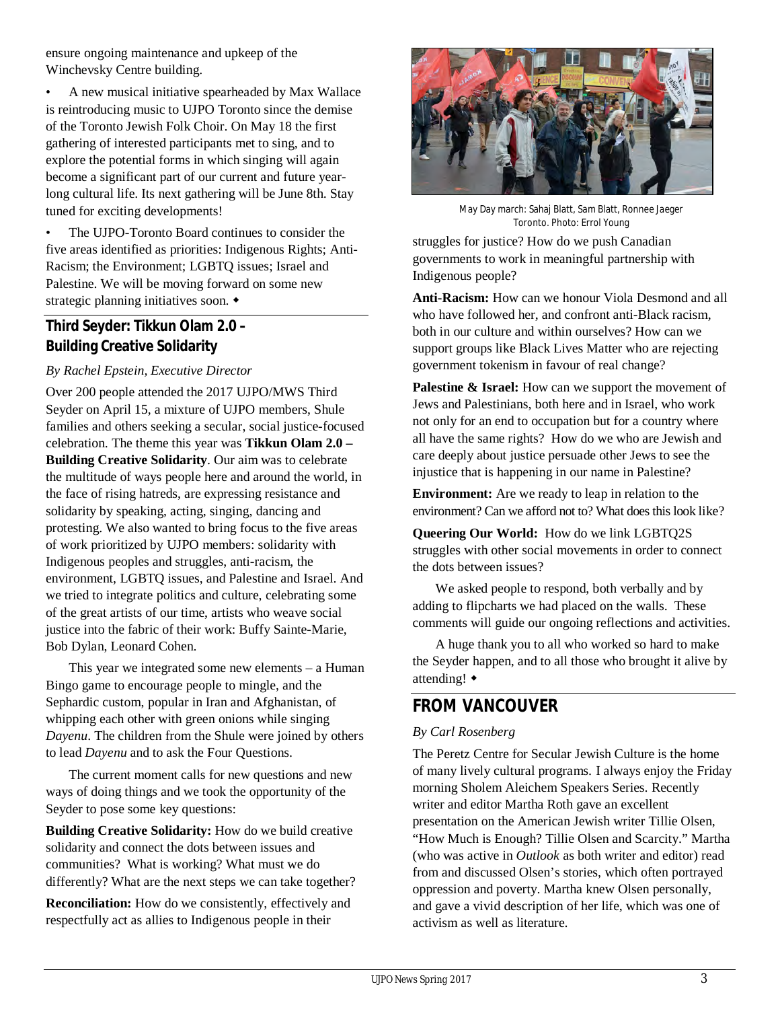ensure ongoing maintenance and upkeep of the Winchevsky Centre building.

• A new musical initiative spearheaded by Max Wallace is reintroducing music to UJPO Toronto since the demise of the Toronto Jewish Folk Choir. On May 18 the first gathering of interested participants met to sing, and to explore the potential forms in which singing will again become a significant part of our current and future yearlong cultural life. Its next gathering will be June 8th. Stay tuned for exciting developments!

The UJPO-Toronto Board continues to consider the five areas identified as priorities: Indigenous Rights; Anti-Racism; the Environment; LGBTQ issues; Israel and Palestine. We will be moving forward on some new strategic planning initiatives soon.

### **Third Seyder: Tikkun Olam 2.0 – Building Creative Solidarity**

### *By Rachel Epstein, Executive Director*

Over 200 people attended the 2017 UJPO/MWS Third Seyder on April 15, a mixture of UJPO members, Shule families and others seeking a secular, social justice-focused celebration. The theme this year was **Tikkun Olam 2.0 – Building Creative Solidarity**. Our aim was to celebrate the multitude of ways people here and around the world, in the face of rising hatreds, are expressing resistance and solidarity by speaking, acting, singing, dancing and protesting. We also wanted to bring focus to the five areas of work prioritized by UJPO members: solidarity with Indigenous peoples and struggles, anti-racism, the environment, LGBTQ issues, and Palestine and Israel. And we tried to integrate politics and culture, celebrating some of the great artists of our time, artists who weave social justice into the fabric of their work: Buffy Sainte-Marie, Bob Dylan, Leonard Cohen.

 This year we integrated some new elements – a Human Bingo game to encourage people to mingle, and the Sephardic custom, popular in Iran and Afghanistan, of whipping each other with green onions while singing *Dayenu*. The children from the Shule were joined by others to lead *Dayenu* and to ask the Four Questions.

 The current moment calls for new questions and new ways of doing things and we took the opportunity of the Seyder to pose some key questions:

**Building Creative Solidarity:** How do we build creative solidarity and connect the dots between issues and communities? What is working? What must we do differently? What are the next steps we can take together?

**Reconciliation:** How do we consistently, effectively and respectfully act as allies to Indigenous people in their



May Day march: Sahaj Blatt, Sam Blatt, Ronnee Jaeger Toronto. Photo: Errol Young

struggles for justice? How do we push Canadian governments to work in meaningful partnership with Indigenous people?

**Anti-Racism:** How can we honour Viola Desmond and all who have followed her, and confront anti-Black racism. both in our culture and within ourselves? How can we support groups like Black Lives Matter who are rejecting government tokenism in favour of real change?

**Palestine & Israel:** How can we support the movement of Jews and Palestinians, both here and in Israel, who work not only for an end to occupation but for a country where all have the same rights? How do we who are Jewish and care deeply about justice persuade other Jews to see the injustice that is happening in our name in Palestine?

**Environment:** Are we ready to leap in relation to the environment? Can we afford not to? What does this look like?

**Queering Our World:** How do we link LGBTQ2S struggles with other social movements in order to connect the dots between issues?

 We asked people to respond, both verbally and by adding to flipcharts we had placed on the walls. These comments will guide our ongoing reflections and activities.

 A huge thank you to all who worked so hard to make the Seyder happen, and to all those who brought it alive by attending!

# **FROM VANCOUVER**

### *By Carl Rosenberg*

The Peretz Centre for Secular Jewish Culture is the home of many lively cultural programs. I always enjoy the Friday morning Sholem Aleichem Speakers Series. Recently writer and editor Martha Roth gave an excellent presentation on the American Jewish writer Tillie Olsen, "How Much is Enough? Tillie Olsen and Scarcity." Martha (who was active in *Outlook* as both writer and editor) read from and discussed Olsen's stories, which often portrayed oppression and poverty. Martha knew Olsen personally, and gave a vivid description of her life, which was one of activism as well as literature.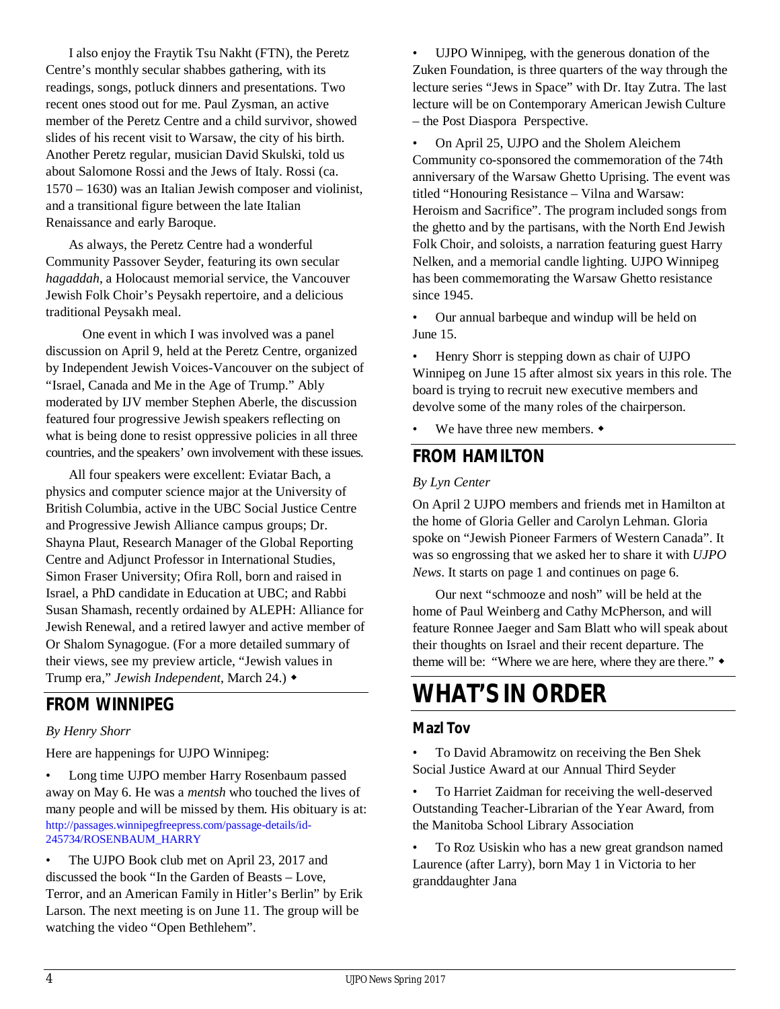I also enjoy the Fraytik Tsu Nakht (FTN), the Peretz Centre's monthly secular shabbes gathering, with its readings, songs, potluck dinners and presentations. Two recent ones stood out for me. Paul Zysman, an active member of the Peretz Centre and a child survivor, showed slides of his recent visit to Warsaw, the city of his birth. Another Peretz regular, musician David Skulski, told us about Salomone Rossi and the Jews of Italy. Rossi (ca. 1570 – 1630) was an Italian Jewish composer and violinist, and a transitional figure between the late Italian Renaissance and early Baroque.

 As always, the Peretz Centre had a wonderful Community Passover Seyder, featuring its own secular *hagaddah*, a Holocaust memorial service, the Vancouver Jewish Folk Choir's Peysakh repertoire, and a delicious traditional Peysakh meal.

 One event in which I was involved was a panel discussion on April 9, held at the Peretz Centre, organized by Independent Jewish Voices-Vancouver on the subject of "Israel, Canada and Me in the Age of Trump." Ably moderated by IJV member Stephen Aberle, the discussion featured four progressive Jewish speakers reflecting on what is being done to resist oppressive policies in all three countries, and the speakers' own involvement with these issues.

 All four speakers were excellent: Eviatar Bach, a physics and computer science major at the University of British Columbia, active in the UBC Social Justice Centre and Progressive Jewish Alliance campus groups; Dr. Shayna Plaut, Research Manager of the Global Reporting Centre and Adjunct Professor in International Studies, Simon Fraser University; Ofira Roll, born and raised in Israel, a PhD candidate in Education at UBC; and Rabbi Susan Shamash, recently ordained by ALEPH: Alliance for Jewish Renewal, and a retired lawyer and active member of Or Shalom Synagogue. (For a more detailed summary of their views, see my preview article, "Jewish values in Trump era," *Jewish Independent*, March 24.)

# **FROM WINNIPEG**

### *By Henry Shorr*

Here are happenings for UJPO Winnipeg:

• Long time UJPO member Harry Rosenbaum passed away on May 6. He was a *mentsh* who touched the lives of many people and will be missed by them. His obituary is at: http://passages.winnipegfreepress.com/passage-details/id-245734/ROSENBAUM\_HARRY

• The UJPO Book club met on April 23, 2017 and discussed the book "In the Garden of Beasts – Love, Terror, and an American Family in Hitler's Berlin" by Erik Larson. The next meeting is on June 11. The group will be watching the video "Open Bethlehem".

UJPO Winnipeg, with the generous donation of the Zuken Foundation, is three quarters of the way through the lecture series "Jews in Space" with Dr. Itay Zutra. The last lecture will be on Contemporary American Jewish Culture – the Post Diaspora Perspective.

• On April 25, UJPO and the Sholem Aleichem Community co-sponsored the commemoration of the 74th anniversary of the Warsaw Ghetto Uprising. The event was titled "Honouring Resistance – Vilna and Warsaw: Heroism and Sacrifice". The program included songs from the ghetto and by the partisans, with the North End Jewish Folk Choir, and soloists, a narration featuring guest Harry Nelken, and a memorial candle lighting. UJPO Winnipeg has been commemorating the Warsaw Ghetto resistance since 1945.

• Our annual barbeque and windup will be held on June 15.

• Henry Shorr is stepping down as chair of UJPO Winnipeg on June 15 after almost six years in this role. The board is trying to recruit new executive members and devolve some of the many roles of the chairperson.

We have three new members.  $\triangleleft$ 

### **FROM HAMILTON**

#### *By Lyn Center*

On April 2 UJPO members and friends met in Hamilton at the home of Gloria Geller and Carolyn Lehman. Gloria spoke on "Jewish Pioneer Farmers of Western Canada". It was so engrossing that we asked her to share it with *UJPO News*. It starts on page 1 and continues on page 6.

 Our next "schmooze and nosh" will be held at the home of Paul Weinberg and Cathy McPherson, and will feature Ronnee Jaeger and Sam Blatt who will speak about their thoughts on Israel and their recent departure. The theme will be: "Where we are here, where they are there."  $\bullet$ 

# **WHAT'S IN ORDER**

### **Mazl Tov**

- To David Abramowitz on receiving the Ben Shek Social Justice Award at our Annual Third Seyder
- To Harriet Zaidman for receiving the well-deserved Outstanding Teacher-Librarian of the Year Award, from the Manitoba School Library Association

• To Roz Usiskin who has a new great grandson named Laurence (after Larry), born May 1 in Victoria to her granddaughter Jana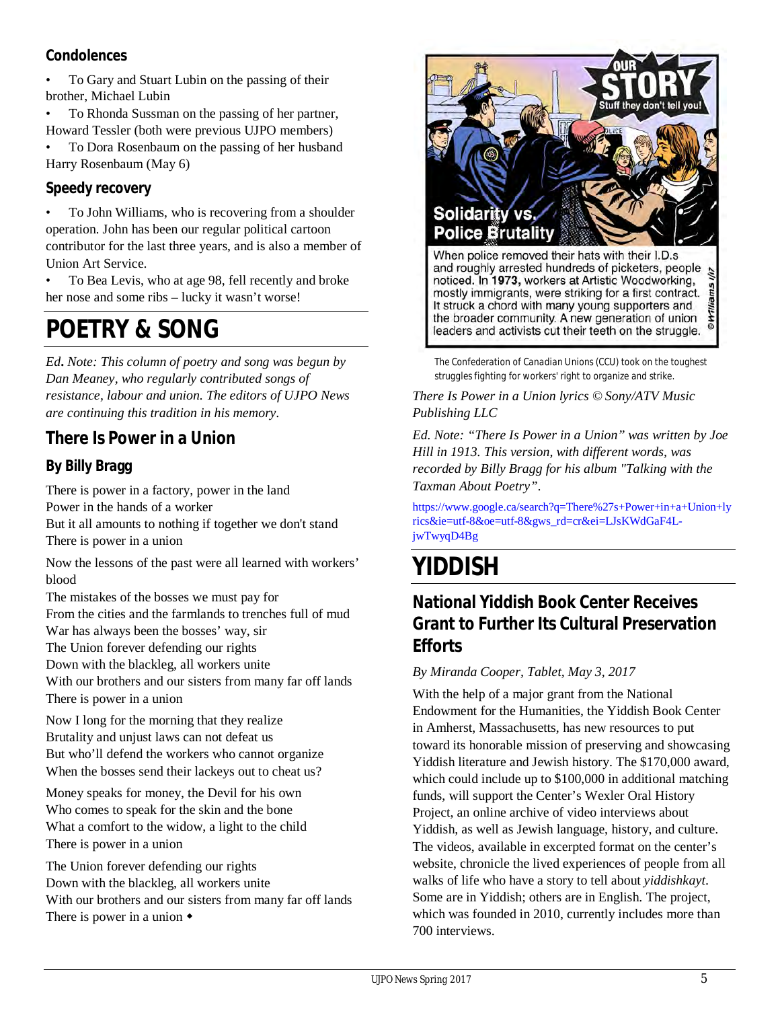### **Condolences**

• To Gary and Stuart Lubin on the passing of their brother, Michael Lubin

To Rhonda Sussman on the passing of her partner, Howard Tessler (both were previous UJPO members)

• To Dora Rosenbaum on the passing of her husband Harry Rosenbaum (May 6)

### **Speedy recovery**

• To John Williams, who is recovering from a shoulder operation. John has been our regular political cartoon contributor for the last three years, and is also a member of Union Art Service.

• To Bea Levis, who at age 98, fell recently and broke her nose and some ribs – lucky it wasn't worse!

# **POETRY & SONG**

*Ed***.** *Note: This column of poetry and song was begun by Dan Meaney, who regularly contributed songs of resistance, labour and union. The editors of UJPO News are continuing this tradition in his memory.*

# **There Is Power in a Union**

# **By Billy Bragg**

There is power in a factory, power in the land Power in the hands of a worker But it all amounts to nothing if together we don't stand There is power in a union

Now the lessons of the past were all learned with workers' blood

The mistakes of the bosses we must pay for From the cities and the farmlands to trenches full of mud War has always been the bosses' way, sir The Union forever defending our rights Down with the blackleg, all workers unite With our brothers and our sisters from many far off lands There is power in a union

Now I long for the morning that they realize Brutality and unjust laws can not defeat us But who'll defend the workers who cannot organize When the bosses send their lackeys out to cheat us?

Money speaks for money, the Devil for his own Who comes to speak for the skin and the bone What a comfort to the widow, a light to the child There is power in a union

The Union forever defending our rights Down with the blackleg, all workers unite With our brothers and our sisters from many far off lands There is power in a union 



*The Confederation of Canadian Unions (CCU) took on the toughest struggles fighting for workers' right to organize and strike*.

*There Is Power in a Union lyrics © Sony/ATV Music Publishing LLC*

*Ed. Note: "There Is Power in a Union" was written by Joe Hill in 1913. This version, with different words, was recorded by Billy Bragg for his album "Talking with the Taxman About Poetry"*.

https://www.google.ca/search?q=There%27s+Power+in+a+Union+ly rics&ie=utf-8&oe=utf-8&gws\_rd=cr&ei=LJsKWdGaF4LjwTwyqD4Bg

# **YIDDISH**

# **National Yiddish Book Center Receives Grant to Further Its Cultural Preservation Efforts**

### *By Miranda Cooper, Tablet, May 3, 2017*

With the help of a major grant from the National Endowment for the Humanities, the Yiddish Book Center in Amherst, Massachusetts, has new resources to put toward its honorable mission of preserving and showcasing Yiddish literature and Jewish history. The \$170,000 award, which could include up to \$100,000 in additional matching funds, will support the Center's Wexler Oral History Project, an online archive of video interviews about Yiddish, as well as Jewish language, history, and culture. The videos, available in excerpted format on the center's website, chronicle the lived experiences of people from all walks of life who have a story to tell about *yiddishkayt*. Some are in Yiddish; others are in English. The project, which was founded in 2010, currently includes more than 700 interviews.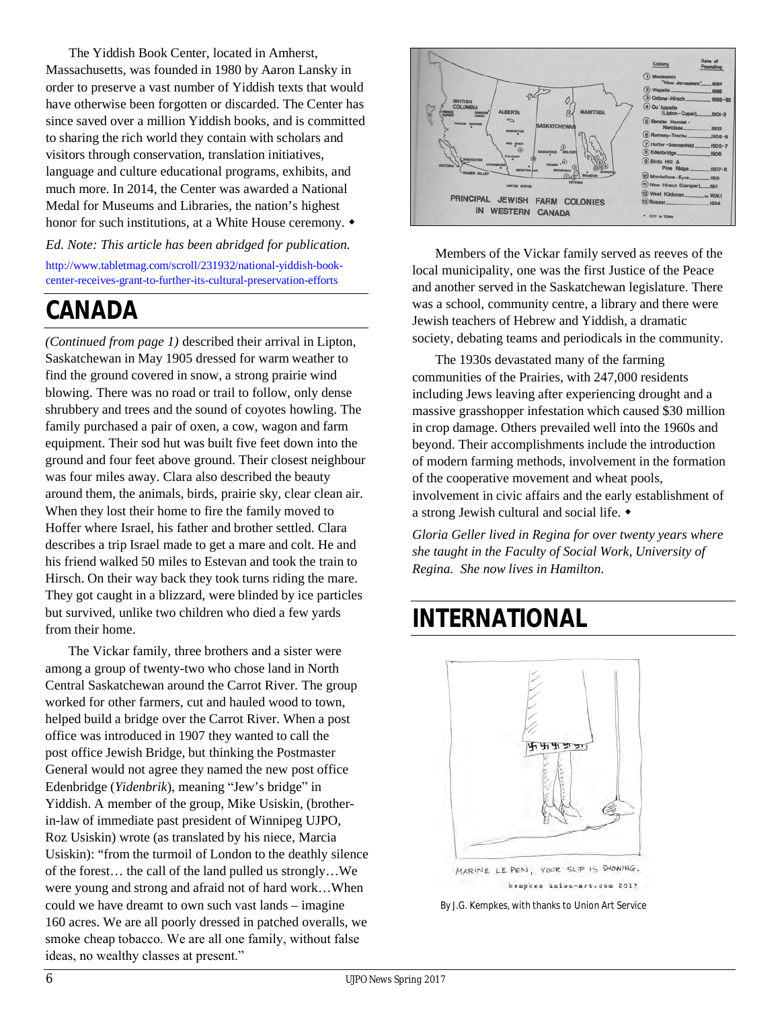The Yiddish Book Center, located in Amherst, Massachusetts, was founded in 1980 by Aaron Lansky in order to preserve a vast number of Yiddish texts that would have otherwise been forgotten or discarded. The Center has since saved over a million Yiddish books, and is committed to sharing the rich world they contain with scholars and visitors through conservation, translation initiatives, language and culture educational programs, exhibits, and much more. In 2014, the Center was awarded a National Medal for Museums and Libraries, the nation's highest honor for such institutions, at a White House ceremony.  $\bullet$ 

#### *Ed. Note: This article has been abridged for publication.*

http://www.tabletmag.com/scroll/231932/national-yiddish-bookcenter-receives-grant-to-further-its-cultural-preservation-efforts

# **CANADA**

*(Continued from page 1)* described their arrival in Lipton, Saskatchewan in May 1905 dressed for warm weather to find the ground covered in snow, a strong prairie wind blowing. There was no road or trail to follow, only dense shrubbery and trees and the sound of coyotes howling. The family purchased a pair of oxen, a cow, wagon and farm equipment. Their sod hut was built five feet down into the ground and four feet above ground. Their closest neighbour was four miles away. Clara also described the beauty around them, the animals, birds, prairie sky, clear clean air. When they lost their home to fire the family moved to Hoffer where Israel, his father and brother settled. Clara describes a trip Israel made to get a mare and colt. He and his friend walked 50 miles to Estevan and took the train to Hirsch. On their way back they took turns riding the mare. They got caught in a blizzard, were blinded by ice particles but survived, unlike two children who died a few yards from their home.

The Vickar family, three brothers and a sister were among a group of twenty-two who chose land in North Central Saskatchewan around the Carrot River. The group worked for other farmers, cut and hauled wood to town, helped build a bridge over the Carrot River. When a post office was introduced in 1907 they wanted to call the post office Jewish Bridge, but thinking the Postmaster General would not agree they named the new post office Edenbridge (*Yidenbrik*), meaning "Jew's bridge" in Yiddish. A member of the group, Mike Usiskin, (brotherin-law of immediate past president of Winnipeg UJPO, Roz Usiskin) wrote (as translated by his niece, Marcia Usiskin): "from the turmoil of London to the deathly silence of the forest… the call of the land pulled us strongly…We were young and strong and afraid not of hard work…When could we have dreamt to own such vast lands – imagine 160 acres. We are all poorly dressed in patched overalls, we smoke cheap tobacco. We are all one family, without false ideas, no wealthy classes at present."



Members of the Vickar family served as reeves of the local municipality, one was the first Justice of the Peace and another served in the Saskatchewan legislature. There was a school, community centre, a library and there were Jewish teachers of Hebrew and Yiddish, a dramatic society, debating teams and periodicals in the community.

The 1930s devastated many of the farming communities of the Prairies, with 247,000 residents including Jews leaving after experiencing drought and a massive grasshopper infestation which caused \$30 million in crop damage. Others prevailed well into the 1960s and beyond. Their accomplishments include the introduction of modern farming methods, involvement in the formation of the cooperative movement and wheat pools, involvement in civic affairs and the early establishment of a strong Jewish cultural and social life.

*Gloria Geller lived in Regina for over twenty years where she taught in the Faculty of Social Work, University of Regina. She now lives in Hamilton*.

# **INTERNATIONAL**



By J.G. Kempkes, with thanks to Union Art Service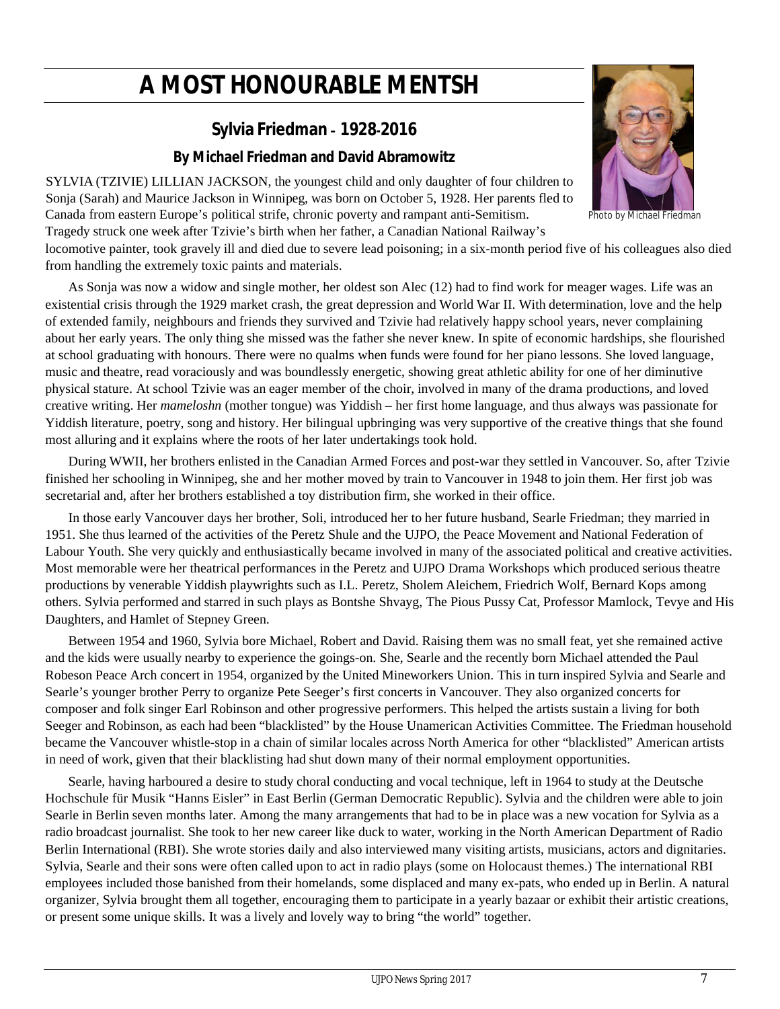# **A MOST HONOURABLE MENTSH**

# **Sylvia Friedman – 1928-2016**

### **By Michael Friedman and David Abramowitz**

SYLVIA (TZIVIE) LILLIAN JACKSON, the youngest child and only daughter of four children to Sonja (Sarah) and Maurice Jackson in Winnipeg, was born on October 5, 1928. Her parents fled to Canada from eastern Europe's political strife, chronic poverty and rampant anti-Semitism. Photo by Michael Friedman

Tragedy struck one week after Tzivie's birth when her father, a Canadian National Railway's

locomotive painter, took gravely ill and died due to severe lead poisoning; in a six-month period five of his colleagues also died from handling the extremely toxic paints and materials.

As Sonja was now a widow and single mother, her oldest son Alec (12) had to find work for meager wages. Life was an existential crisis through the 1929 market crash, the great depression and World War II. With determination, love and the help of extended family, neighbours and friends they survived and Tzivie had relatively happy school years, never complaining about her early years. The only thing she missed was the father she never knew. In spite of economic hardships, she flourished at school graduating with honours. There were no qualms when funds were found for her piano lessons. She loved language, music and theatre, read voraciously and was boundlessly energetic, showing great athletic ability for one of her diminutive physical stature. At school Tzivie was an eager member of the choir, involved in many of the drama productions, and loved creative writing. Her *mameloshn* (mother tongue) was Yiddish – her first home language, and thus always was passionate for Yiddish literature, poetry, song and history. Her bilingual upbringing was very supportive of the creative things that she found most alluring and it explains where the roots of her later undertakings took hold.

During WWII, her brothers enlisted in the Canadian Armed Forces and post-war they settled in Vancouver. So, after Tzivie finished her schooling in Winnipeg, she and her mother moved by train to Vancouver in 1948 to join them. Her first job was secretarial and, after her brothers established a toy distribution firm, she worked in their office.

In those early Vancouver days her brother, Soli, introduced her to her future husband, Searle Friedman; they married in 1951. She thus learned of the activities of the Peretz Shule and the UJPO, the Peace Movement and National Federation of Labour Youth. She very quickly and enthusiastically became involved in many of the associated political and creative activities. Most memorable were her theatrical performances in the Peretz and UJPO Drama Workshops which produced serious theatre productions by venerable Yiddish playwrights such as I.L. Peretz, Sholem Aleichem, Friedrich Wolf, Bernard Kops among others. Sylvia performed and starred in such plays as Bontshe Shvayg, The Pious Pussy Cat, Professor Mamlock, Tevye and His Daughters, and Hamlet of Stepney Green.

Between 1954 and 1960, Sylvia bore Michael, Robert and David. Raising them was no small feat, yet she remained active and the kids were usually nearby to experience the goings-on. She, Searle and the recently born Michael attended the Paul Robeson Peace Arch concert in 1954, organized by the United Mineworkers Union. This in turn inspired Sylvia and Searle and Searle's younger brother Perry to organize Pete Seeger's first concerts in Vancouver. They also organized concerts for composer and folk singer Earl Robinson and other progressive performers. This helped the artists sustain a living for both Seeger and Robinson, as each had been "blacklisted" by the House Unamerican Activities Committee. The Friedman household became the Vancouver whistle-stop in a chain of similar locales across North America for other "blacklisted" American artists in need of work, given that their blacklisting had shut down many of their normal employment opportunities.

Searle, having harboured a desire to study choral conducting and vocal technique, left in 1964 to study at the Deutsche Hochschule für Musik "Hanns Eisler" in East Berlin (German Democratic Republic). Sylvia and the children were able to join Searle in Berlin seven months later. Among the many arrangements that had to be in place was a new vocation for Sylvia as a radio broadcast journalist. She took to her new career like duck to water, working in the North American Department of Radio Berlin International (RBI). She wrote stories daily and also interviewed many visiting artists, musicians, actors and dignitaries. Sylvia, Searle and their sons were often called upon to act in radio plays (some on Holocaust themes.) The international RBI employees included those banished from their homelands, some displaced and many ex-pats, who ended up in Berlin. A natural organizer, Sylvia brought them all together, encouraging them to participate in a yearly bazaar or exhibit their artistic creations, or present some unique skills. It was a lively and lovely way to bring "the world" together.

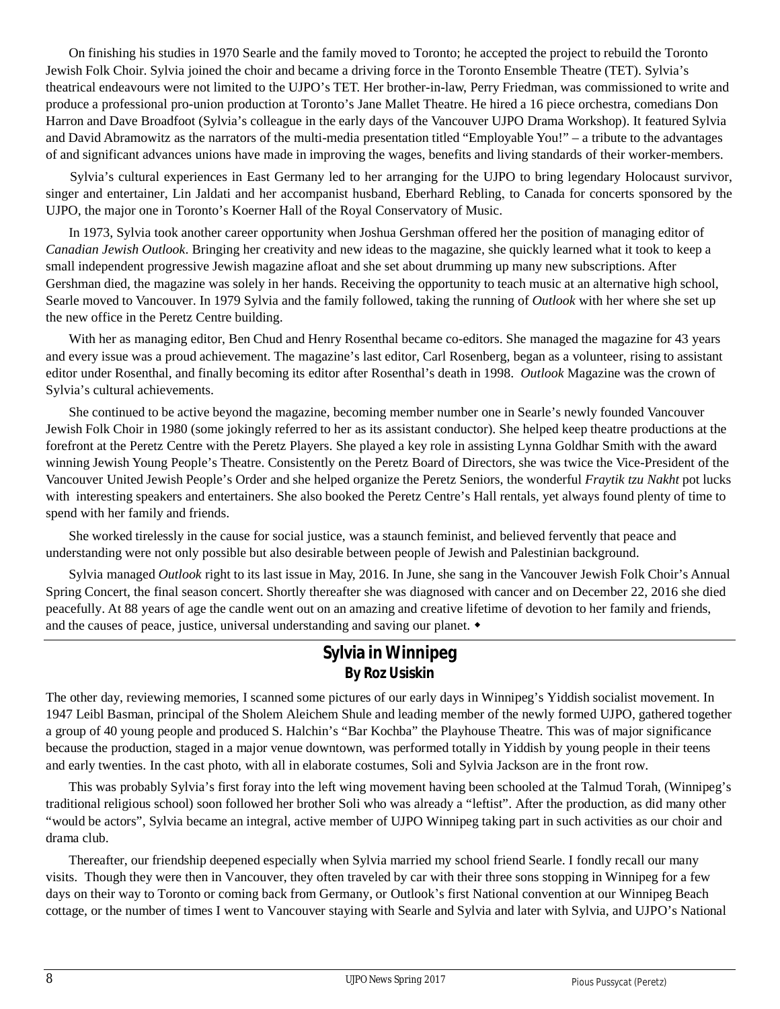On finishing his studies in 1970 Searle and the family moved to Toronto; he accepted the project to rebuild the Toronto Jewish Folk Choir. Sylvia joined the choir and became a driving force in the Toronto Ensemble Theatre (TET). Sylvia's theatrical endeavours were not limited to the UJPO's TET. Her brother-in-law, Perry Friedman, was commissioned to write and produce a professional pro-union production at Toronto's Jane Mallet Theatre. He hired a 16 piece orchestra, comedians Don Harron and Dave Broadfoot (Sylvia's colleague in the early days of the Vancouver UJPO Drama Workshop). It featured Sylvia and David Abramowitz as the narrators of the multi-media presentation titled "Employable You!" – a tribute to the advantages of and significant advances unions have made in improving the wages, benefits and living standards of their worker-members.

Sylvia's cultural experiences in East Germany led to her arranging for the UJPO to bring legendary Holocaust survivor, singer and entertainer, Lin Jaldati and her accompanist husband, Eberhard Rebling, to Canada for concerts sponsored by the UJPO, the major one in Toronto's Koerner Hall of the Royal Conservatory of Music.

In 1973, Sylvia took another career opportunity when Joshua Gershman offered her the position of managing editor of *Canadian Jewish Outlook*. Bringing her creativity and new ideas to the magazine, she quickly learned what it took to keep a small independent progressive Jewish magazine afloat and she set about drumming up many new subscriptions. After Gershman died, the magazine was solely in her hands. Receiving the opportunity to teach music at an alternative high school, Searle moved to Vancouver. In 1979 Sylvia and the family followed, taking the running of *Outlook* with her where she set up the new office in the Peretz Centre building.

With her as managing editor, Ben Chud and Henry Rosenthal became co-editors. She managed the magazine for 43 years and every issue was a proud achievement. The magazine's last editor, Carl Rosenberg, began as a volunteer, rising to assistant editor under Rosenthal, and finally becoming its editor after Rosenthal's death in 1998. *Outlook* Magazine was the crown of Sylvia's cultural achievements.

She continued to be active beyond the magazine, becoming member number one in Searle's newly founded Vancouver Jewish Folk Choir in 1980 (some jokingly referred to her as its assistant conductor). She helped keep theatre productions at the forefront at the Peretz Centre with the Peretz Players. She played a key role in assisting Lynna Goldhar Smith with the award winning Jewish Young People's Theatre. Consistently on the Peretz Board of Directors, she was twice the Vice-President of the Vancouver United Jewish People's Order and she helped organize the Peretz Seniors, the wonderful *Fraytik tzu Nakht* pot lucks with interesting speakers and entertainers. She also booked the Peretz Centre's Hall rentals, yet always found plenty of time to spend with her family and friends.

She worked tirelessly in the cause for social justice, was a staunch feminist, and believed fervently that peace and understanding were not only possible but also desirable between people of Jewish and Palestinian background.

Sylvia managed *Outlook* right to its last issue in May, 2016. In June, she sang in the Vancouver Jewish Folk Choir's Annual Spring Concert, the final season concert. Shortly thereafter she was diagnosed with cancer and on December 22, 2016 she died peacefully. At 88 years of age the candle went out on an amazing and creative lifetime of devotion to her family and friends, and the causes of peace, justice, universal understanding and saving our planet.  $\bullet$ 

### **Sylvia in Winnipeg By Roz Usiskin**

The other day, reviewing memories, I scanned some pictures of our early days in Winnipeg's Yiddish socialist movement. In 1947 Leibl Basman, principal of the Sholem Aleichem Shule and leading member of the newly formed UJPO, gathered together a group of 40 young people and produced S. Halchin's "Bar Kochba" the Playhouse Theatre. This was of major significance because the production, staged in a major venue downtown, was performed totally in Yiddish by young people in their teens and early twenties. In the cast photo, with all in elaborate costumes, Soli and Sylvia Jackson are in the front row.

This was probably Sylvia's first foray into the left wing movement having been schooled at the Talmud Torah, (Winnipeg's traditional religious school) soon followed her brother Soli who was already a "leftist". After the production, as did many other "would be actors", Sylvia became an integral, active member of UJPO Winnipeg taking part in such activities as our choir and drama club.

Thereafter, our friendship deepened especially when Sylvia married my school friend Searle. I fondly recall our many visits. Though they were then in Vancouver, they often traveled by car with their three sons stopping in Winnipeg for a few days on their way to Toronto or coming back from Germany, or Outlook's first National convention at our Winnipeg Beach cottage, or the number of times I went to Vancouver staying with Searle and Sylvia and later with Sylvia, and UJPO's National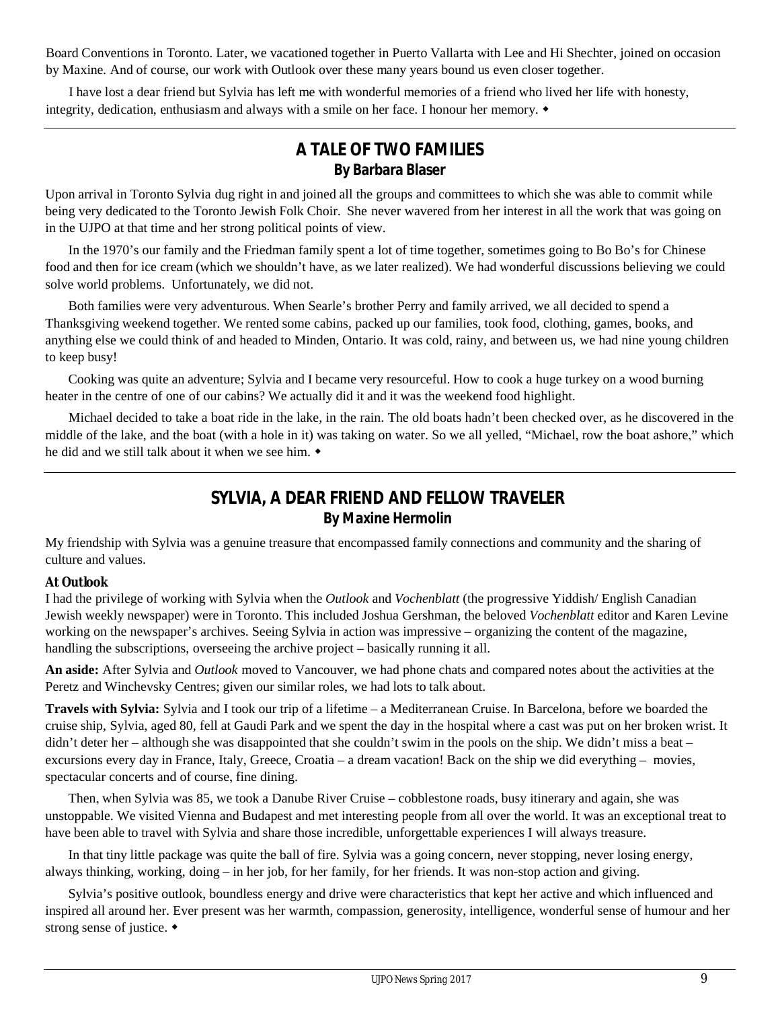Board Conventions in Toronto. Later, we vacationed together in Puerto Vallarta with Lee and Hi Shechter, joined on occasion by Maxine. And of course, our work with Outlook over these many years bound us even closer together.

 I have lost a dear friend but Sylvia has left me with wonderful memories of a friend who lived her life with honesty, integrity, dedication, enthusiasm and always with a smile on her face. I honour her memory.  $\bullet$ 

### **A TALE OF TWO FAMILIES By Barbara Blaser**

Upon arrival in Toronto Sylvia dug right in and joined all the groups and committees to which she was able to commit while being very dedicated to the Toronto Jewish Folk Choir. She never wavered from her interest in all the work that was going on in the UJPO at that time and her strong political points of view.

In the 1970's our family and the Friedman family spent a lot of time together, sometimes going to Bo Bo's for Chinese food and then for ice cream (which we shouldn't have, as we later realized). We had wonderful discussions believing we could solve world problems. Unfortunately, we did not.

Both families were very adventurous. When Searle's brother Perry and family arrived, we all decided to spend a Thanksgiving weekend together. We rented some cabins, packed up our families, took food, clothing, games, books, and anything else we could think of and headed to Minden, Ontario. It was cold, rainy, and between us, we had nine young children to keep busy!

Cooking was quite an adventure; Sylvia and I became very resourceful. How to cook a huge turkey on a wood burning heater in the centre of one of our cabins? We actually did it and it was the weekend food highlight.

Michael decided to take a boat ride in the lake, in the rain. The old boats hadn't been checked over, as he discovered in the middle of the lake, and the boat (with a hole in it) was taking on water. So we all yelled, "Michael, row the boat ashore," which he did and we still talk about it when we see him.

# **SYLVIA, A DEAR FRIEND AND FELLOW TRAVELER By Maxine Hermolin**

My friendship with Sylvia was a genuine treasure that encompassed family connections and community and the sharing of culture and values.

### **At** *Outlook*

I had the privilege of working with Sylvia when the *Outlook* and *Vochenblatt* (the progressive Yiddish/ English Canadian Jewish weekly newspaper) were in Toronto. This included Joshua Gershman, the beloved *Vochenblatt* editor and Karen Levine working on the newspaper's archives. Seeing Sylvia in action was impressive – organizing the content of the magazine, handling the subscriptions, overseeing the archive project – basically running it all.

**An aside:** After Sylvia and *Outlook* moved to Vancouver, we had phone chats and compared notes about the activities at the Peretz and Winchevsky Centres; given our similar roles, we had lots to talk about.

**Travels with Sylvia:** Sylvia and I took our trip of a lifetime – a Mediterranean Cruise. In Barcelona, before we boarded the cruise ship, Sylvia, aged 80, fell at Gaudi Park and we spent the day in the hospital where a cast was put on her broken wrist. It didn't deter her – although she was disappointed that she couldn't swim in the pools on the ship. We didn't miss a beat – excursions every day in France, Italy, Greece, Croatia – a dream vacation! Back on the ship we did everything – movies, spectacular concerts and of course, fine dining.

Then, when Sylvia was 85, we took a Danube River Cruise – cobblestone roads, busy itinerary and again, she was unstoppable. We visited Vienna and Budapest and met interesting people from all over the world. It was an exceptional treat to have been able to travel with Sylvia and share those incredible, unforgettable experiences I will always treasure.

In that tiny little package was quite the ball of fire. Sylvia was a going concern, never stopping, never losing energy, always thinking, working, doing – in her job, for her family, for her friends. It was non-stop action and giving.

Sylvia's positive outlook, boundless energy and drive were characteristics that kept her active and which influenced and inspired all around her. Ever present was her warmth, compassion, generosity, intelligence, wonderful sense of humour and her strong sense of justice.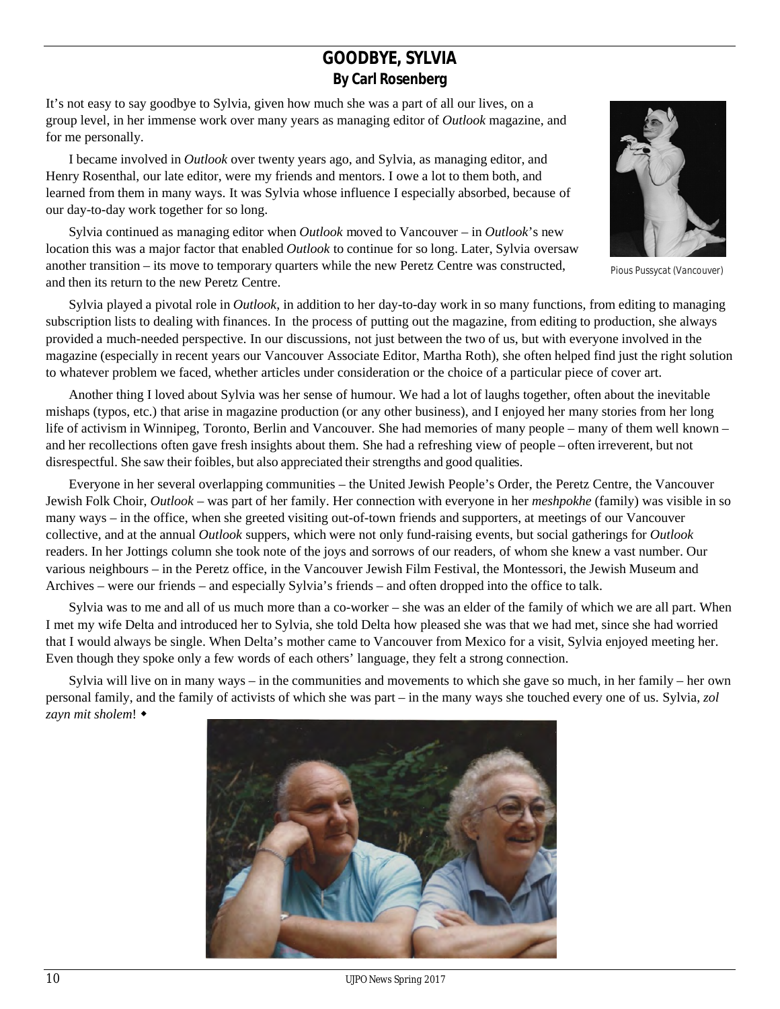### **GOODBYE, SYLVIA By Carl Rosenberg**

It's not easy to say goodbye to Sylvia, given how much she was a part of all our lives, on a group level, in her immense work over many years as managing editor of *Outlook* magazine, and for me personally.

I became involved in *Outlook* over twenty years ago, and Sylvia, as managing editor, and Henry Rosenthal, our late editor, were my friends and mentors. I owe a lot to them both, and learned from them in many ways. It was Sylvia whose influence I especially absorbed, because of our day-to-day work together for so long.

Sylvia continued as managing editor when *Outlook* moved to Vancouver – in *Outlook*'s new location this was a major factor that enabled *Outlook* to continue for so long. Later, Sylvia oversaw another transition – its move to temporary quarters while the new Peretz Centre was constructed, and then its return to the new Peretz Centre.

Sylvia played a pivotal role in *Outlook*, in addition to her day-to-day work in so many functions, from editing to managing subscription lists to dealing with finances. In the process of putting out the magazine, from editing to production, she always provided a much-needed perspective. In our discussions, not just between the two of us, but with everyone involved in the magazine (especially in recent years our Vancouver Associate Editor, Martha Roth), she often helped find just the right solution to whatever problem we faced, whether articles under consideration or the choice of a particular piece of cover art.

Another thing I loved about Sylvia was her sense of humour. We had a lot of laughs together, often about the inevitable mishaps (typos, etc.) that arise in magazine production (or any other business), and I enjoyed her many stories from her long life of activism in Winnipeg, Toronto, Berlin and Vancouver. She had memories of many people – many of them well known – and her recollections often gave fresh insights about them. She had a refreshing view of people – often irreverent, but not disrespectful. She saw their foibles, but also appreciated their strengths and good qualities.

Everyone in her several overlapping communities – the United Jewish People's Order, the Peretz Centre, the Vancouver Jewish Folk Choir, *Outlook* – was part of her family. Her connection with everyone in her *meshpokhe* (family) was visible in so many ways – in the office, when she greeted visiting out-of-town friends and supporters, at meetings of our Vancouver collective, and at the annual *Outlook* suppers, which were not only fund-raising events, but social gatherings for *Outlook* readers. In her Jottings column she took note of the joys and sorrows of our readers, of whom she knew a vast number. Our various neighbours – in the Peretz office, in the Vancouver Jewish Film Festival, the Montessori, the Jewish Museum and Archives – were our friends – and especially Sylvia's friends – and often dropped into the office to talk.

Sylvia was to me and all of us much more than a co-worker – she was an elder of the family of which we are all part. When I met my wife Delta and introduced her to Sylvia, she told Delta how pleased she was that we had met, since she had worried that I would always be single. When Delta's mother came to Vancouver from Mexico for a visit, Sylvia enjoyed meeting her. Even though they spoke only a few words of each others' language, they felt a strong connection.

Sylvia will live on in many ways – in the communities and movements to which she gave so much, in her family – her own personal family, and the family of activists of which she was part – in the many ways she touched every one of us. Sylvia, *zol zayn mit sholem*!





Pious Pussycat (Vancouver)